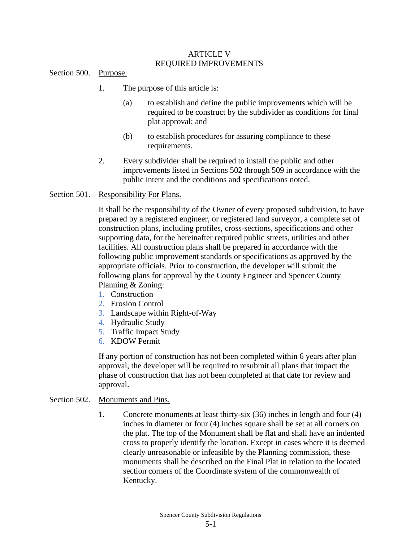#### ARTICLE V REQUIRED IMPROVEMENTS

Section 500. Purpose.

- 1. The purpose of this article is:
	- (a) to establish and define the public improvements which will be required to be construct by the subdivider as conditions for final plat approval; and
	- (b) to establish procedures for assuring compliance to these requirements.
- 2. Every subdivider shall be required to install the public and other improvements listed in Sections 502 through 509 in accordance with the public intent and the conditions and specifications noted.

#### Section 501. Responsibility For Plans.

It shall be the responsibility of the Owner of every proposed subdivision, to have prepared by a registered engineer, or registered land surveyor, a complete set of construction plans, including profiles, cross-sections, specifications and other supporting data, for the hereinafter required public streets, utilities and other facilities. All construction plans shall be prepared in accordance with the following public improvement standards or specifications as approved by the appropriate officials. Prior to construction, the developer will submit the following plans for approval by the County Engineer and Spencer County Planning & Zoning:

- 1. Construction
- 2. Erosion Control
- 3. Landscape within Right-of-Way
- 4. Hydraulic Study
- 5. Traffic Impact Study
- 6. KDOW Permit

If any portion of construction has not been completed within 6 years after plan approval, the developer will be required to resubmit all plans that impact the phase of construction that has not been completed at that date for review and approval.

#### Section 502. Monuments and Pins.

1. Concrete monuments at least thirty-six (36) inches in length and four (4) inches in diameter or four (4) inches square shall be set at all corners on the plat. The top of the Monument shall be flat and shall have an indented cross to properly identify the location. Except in cases where it is deemed clearly unreasonable or infeasible by the Planning commission, these monuments shall be described on the Final Plat in relation to the located section corners of the Coordinate system of the commonwealth of Kentucky.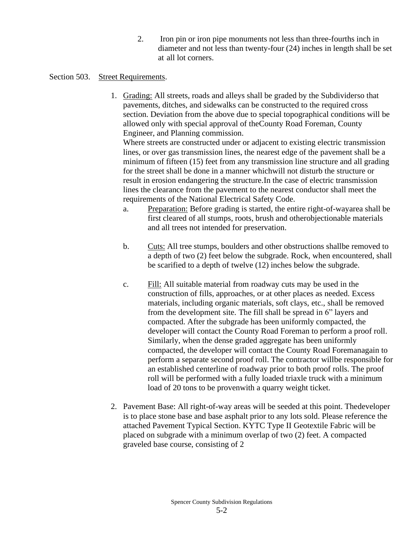2. Iron pin or iron pipe monuments not less than three-fourths inch in diameter and not less than twenty-four (24) inches in length shall be set at all lot corners.

## Section 503. Street Requirements.

1. Grading: All streets, roads and alleys shall be graded by the Subdividerso that pavements, ditches, and sidewalks can be constructed to the required cross section. Deviation from the above due to special topographical conditions will be allowed only with special approval of theCounty Road Foreman, County Engineer, and Planning commission.

Where streets are constructed under or adjacent to existing electric transmission lines, or over gas transmission lines, the nearest edge of the pavement shall be a minimum of fifteen (15) feet from any transmission line structure and all grading for the street shall be done in a manner whichwill not disturb the structure or result in erosion endangering the structure.In the case of electric transmission lines the clearance from the pavement to the nearest conductor shall meet the requirements of the National Electrical Safety Code.

- a. Preparation: Before grading is started, the entire right-of-wayarea shall be first cleared of all stumps, roots, brush and otherobjectionable materials and all trees not intended for preservation.
- b. Cuts: All tree stumps, boulders and other obstructions shallbe removed to a depth of two (2) feet below the subgrade. Rock, when encountered, shall be scarified to a depth of twelve (12) inches below the subgrade.
- c. Fill: All suitable material from roadway cuts may be used in the construction of fills, approaches, or at other places as needed. Excess materials, including organic materials, soft clays, etc., shall be removed from the development site. The fill shall be spread in 6" layers and compacted. After the subgrade has been uniformly compacted, the developer will contact the County Road Foreman to perform a proof roll. Similarly, when the dense graded aggregate has been uniformly compacted, the developer will contact the County Road Foremanagain to perform a separate second proof roll. The contractor willbe responsible for an established centerline of roadway prior to both proof rolls. The proof roll will be performed with a fully loaded triaxle truck with a minimum load of 20 tons to be provenwith a quarry weight ticket.
- 2. Pavement Base: All right-of-way areas will be seeded at this point. Thedeveloper is to place stone base and base asphalt prior to any lots sold. Please reference the attached Pavement Typical Section. KYTC Type II Geotextile Fabric will be placed on subgrade with a minimum overlap of two (2) feet. A compacted graveled base course, consisting of 2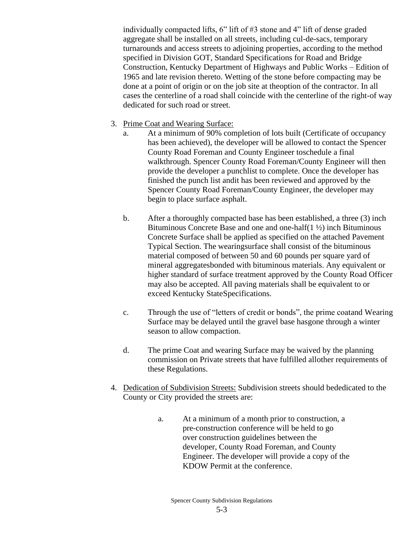individually compacted lifts, 6" lift of #3 stone and 4" lift of dense graded aggregate shall be installed on all streets, including cul-de-sacs, temporary turnarounds and access streets to adjoining properties, according to the method specified in Division GOT, Standard Specifications for Road and Bridge Construction, Kentucky Department of Highways and Public Works – Edition of 1965 and late revision thereto. Wetting of the stone before compacting may be done at a point of origin or on the job site at theoption of the contractor. In all cases the centerline of a road shall coincide with the centerline of the right-of way dedicated for such road or street.

- 3. Prime Coat and Wearing Surface:
	- a. At a minimum of 90% completion of lots built (Certificate of occupancy has been achieved), the developer will be allowed to contact the Spencer County Road Foreman and County Engineer toschedule a final walkthrough. Spencer County Road Foreman/County Engineer will then provide the developer a punchlist to complete. Once the developer has finished the punch list andit has been reviewed and approved by the Spencer County Road Foreman/County Engineer, the developer may begin to place surface asphalt.
	- b. After a thoroughly compacted base has been established, a three (3) inch Bituminous Concrete Base and one and one-half(1 ½) inch Bituminous Concrete Surface shall be applied as specified on the attached Pavement Typical Section. The wearingsurface shall consist of the bituminous material composed of between 50 and 60 pounds per square yard of mineral aggregatesbonded with bituminous materials. Any equivalent or higher standard of surface treatment approved by the County Road Officer may also be accepted. All paving materials shall be equivalent to or exceed Kentucky StateSpecifications.
	- c. Through the use of "letters of credit or bonds", the prime coatand Wearing Surface may be delayed until the gravel base hasgone through a winter season to allow compaction.
	- d. The prime Coat and wearing Surface may be waived by the planning commission on Private streets that have fulfilled allother requirements of these Regulations.
- 4. Dedication of Subdivision Streets: Subdivision streets should bededicated to the County or City provided the streets are:
	- a. At a minimum of a month prior to construction, a pre-construction conference will be held to go over construction guidelines between the developer, County Road Foreman, and County Engineer. The developer will provide a copy of the KDOW Permit at the conference.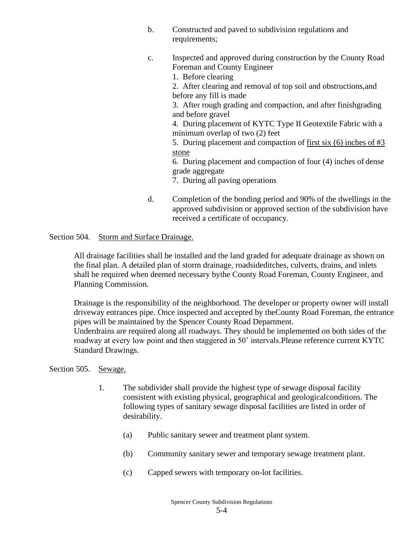- b. Constructed and paved to subdivision regulations and requirements;
- c. Inspected and approved during construction by the County Road Foreman and County Engineer
	- 1. Before clearing

2. After clearing and removal of top soil and obstructions,and before any fill is made

3. After rough grading and compaction, and after finishgrading and before gravel

4. During placement of KYTC Type II Geotextile Fabric with a minimum overlap of two (2) feet

5. During placement and compaction of first six (6) inches of #3 stone

6. During placement and compaction of four (4) inches of dense grade aggregate

7. During all paving operations

d. Completion of the bonding period and 90% of the dwellings in the approved subdivision or approved section of the subdivision have received a certificate of occupancy.

Section 504. Storm and Surface Drainage.

All drainage facilities shall be installed and the land graded for adequate drainage as shown on the final plan. A detailed plan of storm drainage, roadsideditches, culverts, drains, and inlets shall be required when deemed necessary bythe County Road Foreman, County Engineer, and Planning Commission.

Drainage is the responsibility of the neighborhood. The developer or property owner will install driveway entrances pipe. Once inspected and accepted by theCounty Road Foreman, the entrance pipes will be maintained by the Spencer County Road Department.

Underdrains are required along all roadways. They should be implemented on both sides of the roadway at every low point and then staggered in 50' intervals.Please reference current KYTC Standard Drawings.

Section 505. Sewage.

- 1. The subdivider shall provide the highest type of sewage disposal facility consistent with existing physical, geographical and geologicalconditions. The following types of sanitary sewage disposal facilities are listed in order of desirability.
	- (a) Public sanitary sewer and treatment plant system.
	- (b) Community sanitary sewer and temporary sewage treatment plant.
	- (c) Capped sewers with temporary on-lot facilities.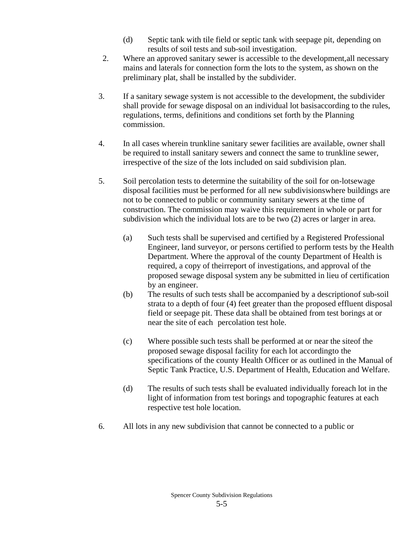- (d) Septic tank with tile field or septic tank with seepage pit, depending on results of soil tests and sub-soil investigation.
- 2. Where an approved sanitary sewer is accessible to the development,all necessary mains and laterals for connection form the lots to the system, as shown on the preliminary plat, shall be installed by the subdivider.
- 3. If a sanitary sewage system is not accessible to the development, the subdivider shall provide for sewage disposal on an individual lot basisaccording to the rules, regulations, terms, definitions and conditions set forth by the Planning commission.
- 4. In all cases wherein trunkline sanitary sewer facilities are available, owner shall be required to install sanitary sewers and connect the same to trunkline sewer, irrespective of the size of the lots included on said subdivision plan.
- 5. Soil percolation tests to determine the suitability of the soil for on-lotsewage disposal facilities must be performed for all new subdivisionswhere buildings are not to be connected to public or community sanitary sewers at the time of construction. The commission may waive this requirement in whole or part for subdivision which the individual lots are to be two (2) acres or larger in area.
	- (a) Such tests shall be supervised and certified by a Registered Professional Engineer, land surveyor, or persons certified to perform tests by the Health Department. Where the approval of the county Department of Health is required, a copy of theirreport of investigations, and approval of the proposed sewage disposal system any be submitted in lieu of certification by an engineer.
	- (b) The results of such tests shall be accompanied by a descriptionof sub-soil strata to a depth of four (4) feet greater than the proposed effluent disposal field or seepage pit. These data shall be obtained from test borings at or near the site of each percolation test hole.
	- (c) Where possible such tests shall be performed at or near the siteof the proposed sewage disposal facility for each lot accordingto the specifications of the county Health Officer or as outlined in the Manual of Septic Tank Practice, U.S. Department of Health, Education and Welfare.
	- (d) The results of such tests shall be evaluated individually foreach lot in the light of information from test borings and topographic features at each respective test hole location.
- 6. All lots in any new subdivision that cannot be connected to a public or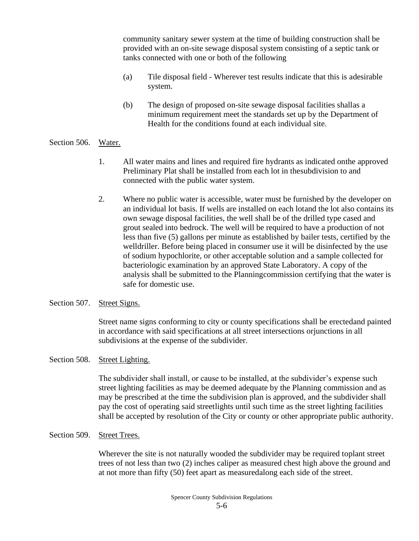community sanitary sewer system at the time of building construction shall be provided with an on-site sewage disposal system consisting of a septic tank or tanks connected with one or both of the following

- (a) Tile disposal field Wherever test results indicate that this is adesirable system.
- (b) The design of proposed on-site sewage disposal facilities shallas a minimum requirement meet the standards set up by the Department of Health for the conditions found at each individual site.

## Section 506. Water.

- 1. All water mains and lines and required fire hydrants as indicated onthe approved Preliminary Plat shall be installed from each lot in thesubdivision to and connected with the public water system.
- 2. Where no public water is accessible, water must be furnished by the developer on an individual lot basis. If wells are installed on each lotand the lot also contains its own sewage disposal facilities, the well shall be of the drilled type cased and grout sealed into bedrock. The well will be required to have a production of not less than five (5) gallons per minute as established by bailer tests, certified by the welldriller. Before being placed in consumer use it will be disinfected by the use of sodium hypochlorite, or other acceptable solution and a sample collected for bacteriologic examination by an approved State Laboratory. A copy of the analysis shall be submitted to the Planningcommission certifying that the water is safe for domestic use.

#### Section 507. Street Signs.

Street name signs conforming to city or county specifications shall be erectedand painted in accordance with said specifications at all street intersections orjunctions in all subdivisions at the expense of the subdivider.

# Section 508. Street Lighting.

The subdivider shall install, or cause to be installed, at the subdivider's expense such street lighting facilities as may be deemed adequate by the Planning commission and as may be prescribed at the time the subdivision plan is approved, and the subdivider shall pay the cost of operating said street lights until such time as the street lighting facilities shall be accepted by resolution of the City or county or other appropriate public authority.

## Section 509. Street Trees.

Wherever the site is not naturally wooded the subdivider may be required toplant street trees of not less than two (2) inches caliper as measured chest high above the ground and at not more than fifty (50) feet apart as measuredalong each side of the street.